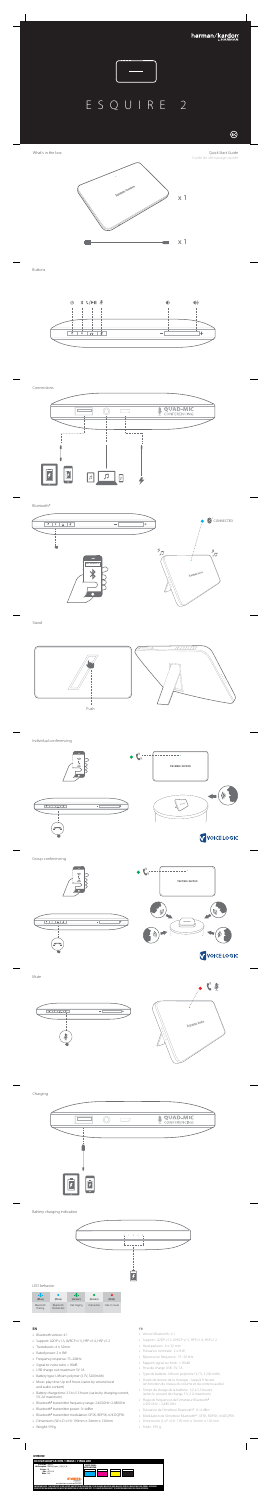Buttons



Connections



## Charging



Quick Start Guide Guide de demarrage rapide

What's in the box



Individual conferencing

#### Battery charging indication

# LED behavior





# **EN**

- **•** Bluetooth version: 4.1
- **•** Support: A2DP v1.3, AVRCP v1.5, HFP v1.6, HSP v1.2
- **•** Transducers: 4 × 32mm
- **•** Rated power: 2 × 8W
- **•** Frequency response: 75–20kHz
- **•** Signal-to-noise ratio: > 80dB
- **•** USB charge out: maximum 5V 1A
- **•** Battery type: Lithium polymer (3.7V, 3200mAh) **•** Music play time: Up to 8 hours (varies by volume level
- and audio content) **•** Battery charge time: 3.5 to 5.5 hours (varies by charging current, 5V, 2A maximum)
- **•** Bluetooth® transmitter frequency range: 2.402GHz~2.480GHz **•** Bluetooth® transmitter power: 0~4dBm
- **•** Bluetooth® transmitter modulation: GFSK, 8DPSK, π/4 DQPSK
- **•** Dimensions (W × D × H): 190mm × 34mm × 130mm
- **•** Weight: 599g

# **FR**



- **•** Version Bluetooth : 4.1
- **•** Support : A2DP v1.3, AVRCP v1.5, HFP v1.6, HSP v1.2
- **•** Haut-parleurs : 4 × 32 mm
- **•** Puissance nominale : 2 × 8 W
- **•** Réponse en fréquence : 75~20 kHz
- **•** Rapport signal sur bruit : > 80 dB
- **•** Prise de charge USB : 5V, 1A
- **•** Type de batterie : lithium polymère (3,7 V, 3 200 mAh)
- **•** Durée de lecture de la musique : Jusqu'à 8 heures (en fonction du niveau du volume et du contenu audio) **•** Temps de charge de la batterie : 3,5 à 5,5 heures
- (selon le courant de charge, 5 V, 2 A maximum)
	- **•** Plage de fréquences de l'émetteur Bluetooth® : 2,402 GHz ~ 2,480 GHz
	- **•** Puissance de l'émetteur Bluetooth® : 0~4 dBm
	- **•** Modulation de l'émetteur Bluetooth® : GFSK, 8DPSK, π/4DQPSK
	- **•** Dimensions (L x P x H) : 190 mm × 34 mm × 130 mm
	- **•** Poids : 599 g





 $\overline{1}$ 

r)

((d

**V** VOICE LOGIC

Push



| (Blue)               | r.<br>(Blue)           | ₩<br>(Green) | (Green)     | r.<br>(Red)  |
|----------------------|------------------------|--------------|-------------|--------------|
| Bluetooth<br>Pairing | Bluetooth<br>Connected | Call ringing | Call active | Call on mute |